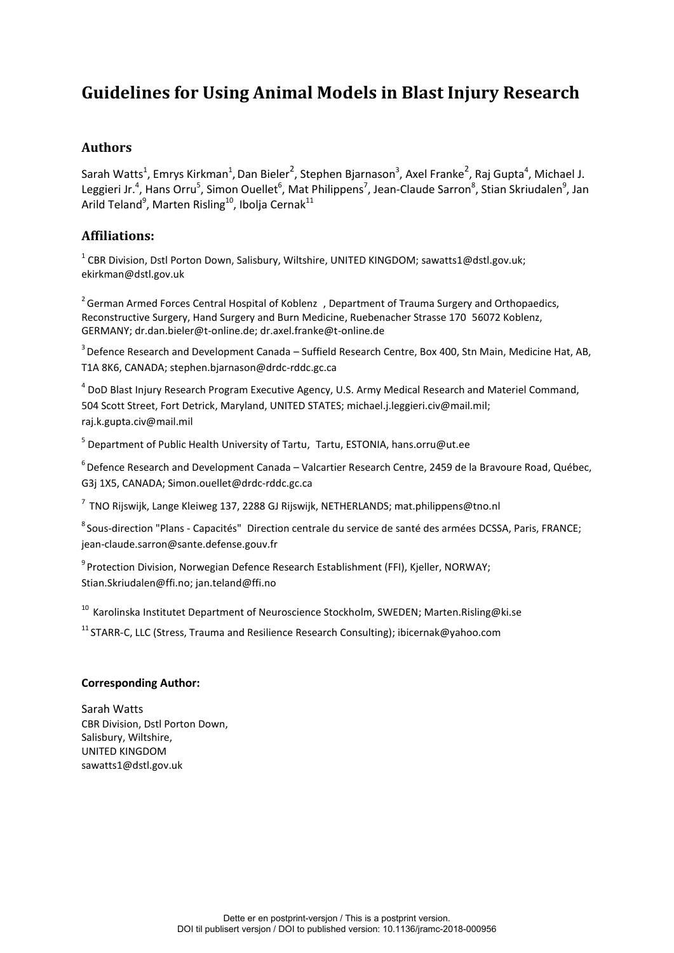# **Guidelines for Using Animal Models in Blast Injury Research**

## **Authors**

Sarah Watts<sup>1</sup>, Emrys Kirkman<sup>1</sup>, Dan Bieler<sup>2</sup>, Stephen Bjarnason<sup>3</sup>, Axel Franke<sup>2</sup>, Raj Gupta<sup>4</sup>, Michael J. Leggieri Jr.<sup>4</sup>, Hans Orru<sup>5</sup>, Simon Ouellet<sup>6</sup>, Mat Philippens<sup>7</sup>, Jean-Claude Sarron<sup>8</sup>, Stian Skriudalen<sup>9</sup>, Jan Arild Teland $^9$ , Marten Risling $^{10}$ , Ibolja Cernak $^{11}$ 

## **Affiliations:**

 $^{1}$  CBR Division, Dstl Porton Down, Salisbury, Wiltshire, UNITED KINGDOM; sawatts1@dstl.gov.uk; ekirkman@dstl.gov.uk

<sup>2</sup> German Armed Forces Central Hospital of Koblenz , Department of Trauma Surgery and Orthopaedics, Reconstructive Surgery, Hand Surgery and Burn Medicine, Ruebenacher Strasse 170 56072 Koblenz, GERMANY; dr.dan.bieler@t-online.de; dr.axel.franke@t-online.de

<sup>3</sup> Defence Research and Development Canada – Suffield Research Centre, Box 400, Stn Main, Medicine Hat, AB, T1A 8K6, CANADA; stephen.bjarnason@drdc-rddc.gc.ca

<sup>4</sup> DoD Blast Injury Research Program Executive Agency, U.S. Army Medical Research and Materiel Command, 504 Scott Street, Fort Detrick, Maryland, UNITED STATES; michael.j.leggieri.civ@mail.mil; raj.k.gupta.civ@mail.mil

<sup>5</sup> Department of Public Health University of Tartu, Tartu, ESTONIA, hans.orru@ut.ee

<sup>6</sup> Defence Research and Development Canada – Valcartier Research Centre, 2459 de la Bravoure Road, Québec, G3j 1X5, CANADA; Simon.ouellet@drdc-rddc.gc.ca

 $7$  TNO Rijswijk, Lange Kleiweg 137, 2288 GJ Rijswijk, NETHERLANDS; mat.philippens@tno.nl

<sup>8</sup> Sous-direction "Plans - Capacités" Direction centrale du service de santé des armées DCSSA, Paris, FRANCE; jean-claude.sarron@sante.defense.gouv.fr

<sup>9</sup> Protection Division, Norwegian Defence Research Establishment (FFI), Kjeller, NORWAY; [Stian.Skriudalen@ffi.no;](mailto:Stian.Skriudalen@ffi.no) jan.teland@ffi.no

<sup>10</sup> Karolinska Institutet Department of Neuroscience Stockholm, SWEDEN; Marten.Risling@ki.se

<sup>11</sup> STARR-C, LLC (Stress, Trauma and Resilience Research Consulting)[; ibicernak@yahoo.com](mailto:ibicernak@yahoo.com)

#### **Corresponding Author:**

Sarah Watts CBR Division, Dstl Porton Down, Salisbury, Wiltshire, UNITED KINGDOM sawatts1@dstl.gov.uk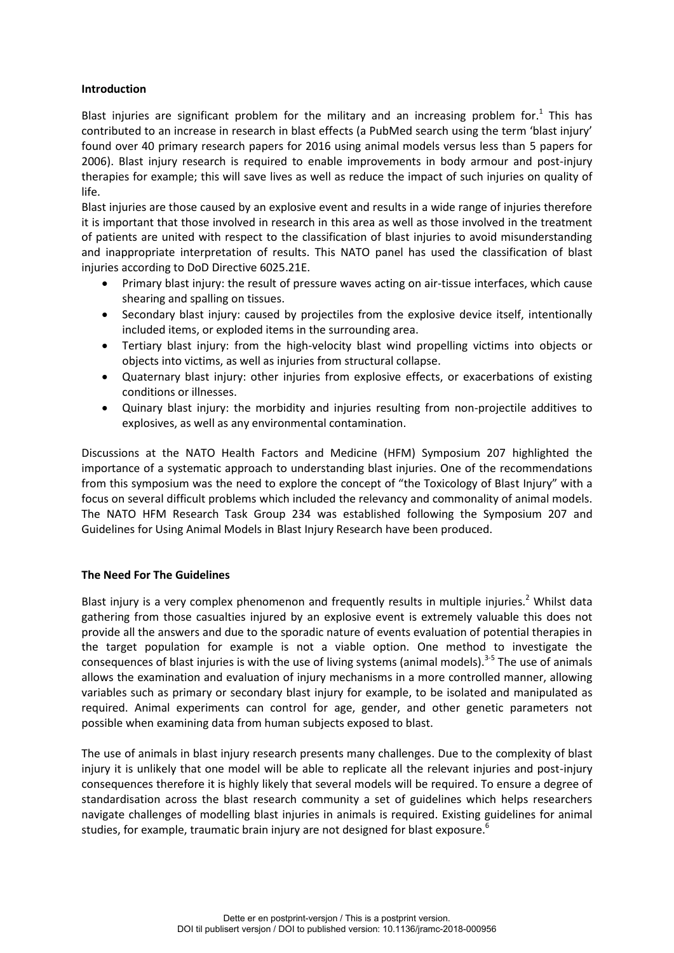#### **Introduction**

Blast injuries are significant problem for the military and an increasing problem for.<sup>1</sup> This has contributed to an increase in research in blast effects (a PubMed search using the term 'blast injury' found over 40 primary research papers for 2016 using animal models versus less than 5 papers for 2006). Blast injury research is required to enable improvements in body armour and post-injury therapies for example; this will save lives as well as reduce the impact of such injuries on quality of life.

Blast injuries are those caused by an explosive event and results in a wide range of injuries therefore it is important that those involved in research in this area as well as those involved in the treatment of patients are united with respect to the classification of blast injuries to avoid misunderstanding and inappropriate interpretation of results. This NATO panel has used the classification of blast injuries according to DoD Directive 6025.21E.

- Primary blast injury: the result of pressure waves acting on air-tissue interfaces, which cause shearing and spalling on tissues.
- Secondary blast injury: caused by projectiles from the explosive device itself, intentionally included items, or exploded items in the surrounding area.
- Tertiary blast injury: from the high-velocity blast wind propelling victims into objects or objects into victims, as well as injuries from structural collapse.
- Quaternary blast injury: other injuries from explosive effects, or exacerbations of existing conditions or illnesses.
- Quinary blast injury: the morbidity and injuries resulting from non-projectile additives to explosives, as well as any environmental contamination.

Discussions at the NATO Health Factors and Medicine (HFM) Symposium 207 highlighted the importance of a systematic approach to understanding blast injuries. One of the recommendations from this symposium was the need to explore the concept of "the Toxicology of Blast Injury" with a focus on several difficult problems which included the relevancy and commonality of animal models. The NATO HFM Research Task Group 234 was established following the Symposium 207 and Guidelines for Using Animal Models in Blast Injury Research have been produced.

#### **The Need For The Guidelines**

Blast injury is a very complex phenomenon and frequently results in multiple injuries.<sup>2</sup> Whilst data gathering from those casualties injured by an explosive event is extremely valuable this does not provide all the answers and due to the sporadic nature of events evaluation of potential therapies in the target population for example is not a viable option. One method to investigate the consequences of blast injuries is with the use of living systems (animal models).<sup>3-5</sup> The use of animals allows the examination and evaluation of injury mechanisms in a more controlled manner, allowing variables such as primary or secondary blast injury for example, to be isolated and manipulated as required. Animal experiments can control for age, gender, and other genetic parameters not possible when examining data from human subjects exposed to blast.

The use of animals in blast injury research presents many challenges. Due to the complexity of blast injury it is unlikely that one model will be able to replicate all the relevant injuries and post-injury consequences therefore it is highly likely that several models will be required. To ensure a degree of standardisation across the blast research community a set of guidelines which helps researchers navigate challenges of modelling blast injuries in animals is required. Existing guidelines for animal studies, for example, traumatic brain injury are not designed for blast exposure.<sup>6</sup>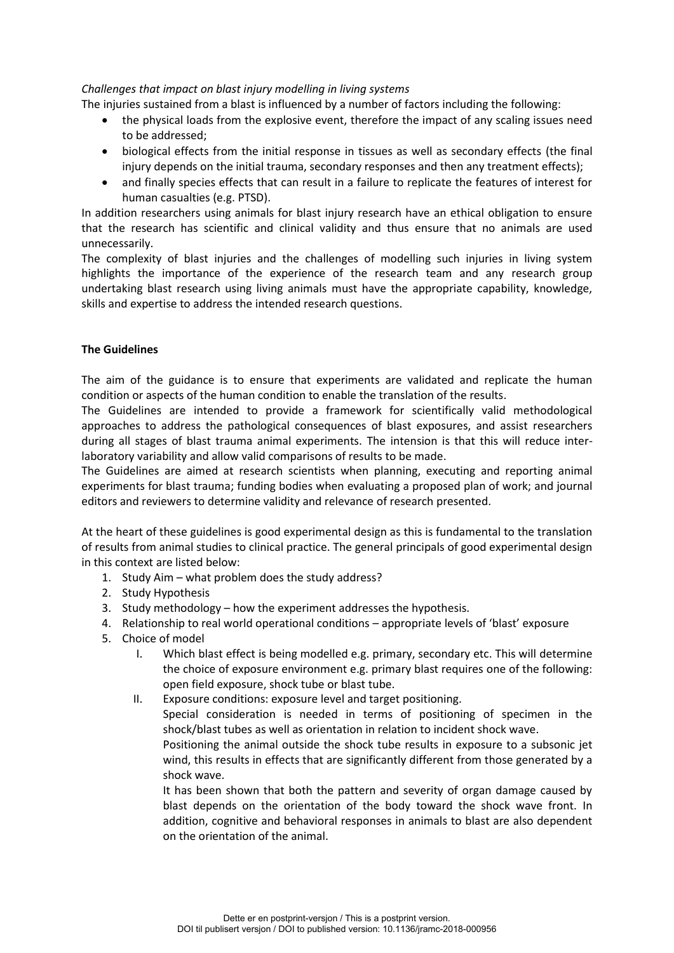#### *Challenges that impact on blast injury modelling in living systems*

The injuries sustained from a blast is influenced by a number of factors including the following:

- the physical loads from the explosive event, therefore the impact of any scaling issues need to be addressed;
- biological effects from the initial response in tissues as well as secondary effects (the final injury depends on the initial trauma, secondary responses and then any treatment effects);
- and finally species effects that can result in a failure to replicate the features of interest for human casualties (e.g. PTSD).

In addition researchers using animals for blast injury research have an ethical obligation to ensure that the research has scientific and clinical validity and thus ensure that no animals are used unnecessarily.

The complexity of blast injuries and the challenges of modelling such injuries in living system highlights the importance of the experience of the research team and any research group undertaking blast research using living animals must have the appropriate capability, knowledge, skills and expertise to address the intended research questions.

### **The Guidelines**

The aim of the guidance is to ensure that experiments are validated and replicate the human condition or aspects of the human condition to enable the translation of the results.

The Guidelines are intended to provide a framework for scientifically valid methodological approaches to address the pathological consequences of blast exposures, and assist researchers during all stages of blast trauma animal experiments. The intension is that this will reduce interlaboratory variability and allow valid comparisons of results to be made.

The Guidelines are aimed at research scientists when planning, executing and reporting animal experiments for blast trauma; funding bodies when evaluating a proposed plan of work; and journal editors and reviewers to determine validity and relevance of research presented.

At the heart of these guidelines is good experimental design as this is fundamental to the translation of results from animal studies to clinical practice. The general principals of good experimental design in this context are listed below:

- 1. Study Aim what problem does the study address?
- 2. Study Hypothesis
- 3. Study methodology how the experiment addresses the hypothesis.
- 4. Relationship to real world operational conditions appropriate levels of 'blast' exposure
- 5. Choice of model
	- I. Which blast effect is being modelled e.g. primary, secondary etc. This will determine the choice of exposure environment e.g. primary blast requires one of the following: open field exposure, shock tube or blast tube.
	- II. Exposure conditions: exposure level and target positioning.

Special consideration is needed in terms of positioning of specimen in the shock/blast tubes as well as orientation in relation to incident shock wave.

Positioning the animal outside the shock tube results in exposure to a subsonic jet wind, this results in effects that are significantly different from those generated by a shock wave.

It has been shown that both the pattern and severity of organ damage caused by blast depends on the orientation of the body toward the shock wave front. In addition, cognitive and behavioral responses in animals to blast are also dependent on the orientation of the animal.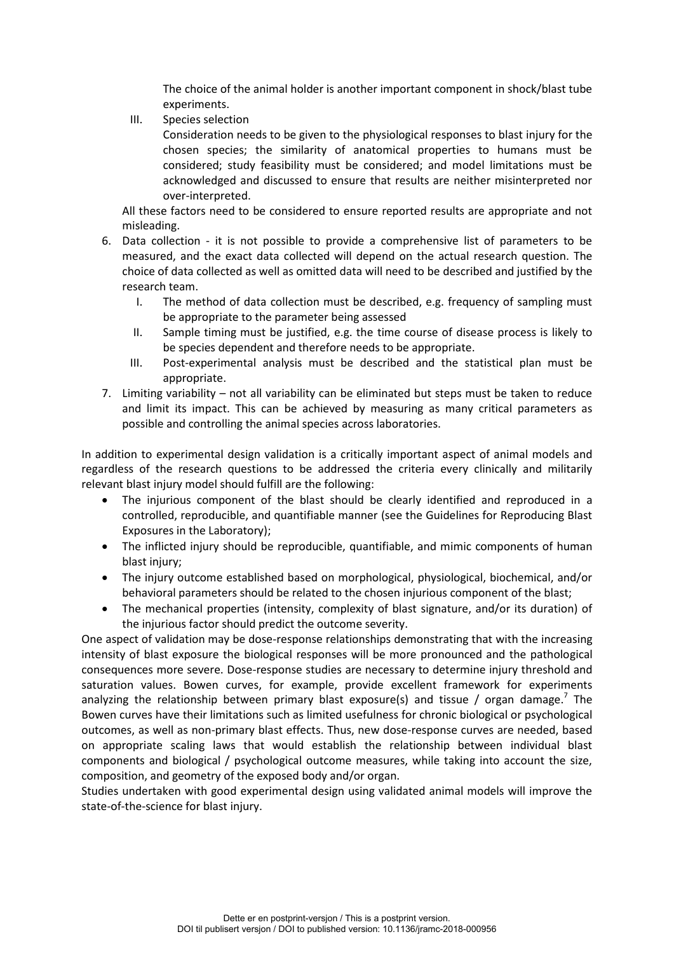The choice of the animal holder is another important component in shock/blast tube experiments.

III. Species selection

Consideration needs to be given to the physiological responses to blast injury for the chosen species; the similarity of anatomical properties to humans must be considered; study feasibility must be considered; and model limitations must be acknowledged and discussed to ensure that results are neither misinterpreted nor over-interpreted.

All these factors need to be considered to ensure reported results are appropriate and not misleading.

- 6. Data collection it is not possible to provide a comprehensive list of parameters to be measured, and the exact data collected will depend on the actual research question. The choice of data collected as well as omitted data will need to be described and justified by the research team.
	- I. The method of data collection must be described, e.g. frequency of sampling must be appropriate to the parameter being assessed
	- II. Sample timing must be justified, e.g. the time course of disease process is likely to be species dependent and therefore needs to be appropriate.
	- III. Post-experimental analysis must be described and the statistical plan must be appropriate.
- 7. Limiting variability not all variability can be eliminated but steps must be taken to reduce and limit its impact. This can be achieved by measuring as many critical parameters as possible and controlling the animal species across laboratories.

In addition to experimental design validation is a critically important aspect of animal models and regardless of the research questions to be addressed the criteria every clinically and militarily relevant blast injury model should fulfill are the following:

- The injurious component of the blast should be clearly identified and reproduced in a controlled, reproducible, and quantifiable manner (see the Guidelines for Reproducing Blast Exposures in the Laboratory);
- The inflicted injury should be reproducible, quantifiable, and mimic components of human blast injury;
- The injury outcome established based on morphological, physiological, biochemical, and/or behavioral parameters should be related to the chosen injurious component of the blast;
- The mechanical properties (intensity, complexity of blast signature, and/or its duration) of the injurious factor should predict the outcome severity.

One aspect of validation may be dose-response relationships demonstrating that with the increasing intensity of blast exposure the biological responses will be more pronounced and the pathological consequences more severe. Dose-response studies are necessary to determine injury threshold and saturation values. Bowen curves, for example, provide excellent framework for experiments analyzing the relationship between primary blast exposure(s) and tissue / organ damage.<sup>7</sup> The Bowen curves have their limitations such as limited usefulness for chronic biological or psychological outcomes, as well as non-primary blast effects. Thus, new dose-response curves are needed, based on appropriate scaling laws that would establish the relationship between individual blast components and biological / psychological outcome measures, while taking into account the size, composition, and geometry of the exposed body and/or organ.

Studies undertaken with good experimental design using validated animal models will improve the state-of-the-science for blast injury.